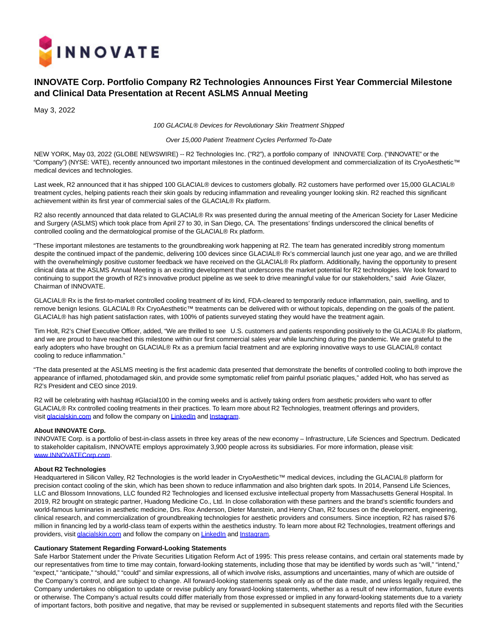

## **INNOVATE Corp. Portfolio Company R2 Technologies Announces First Year Commercial Milestone and Clinical Data Presentation at Recent ASLMS Annual Meeting**

May 3, 2022

100 GLACIAL® Devices for Revolutionary Skin Treatment Shipped

Over 15,000 Patient Treatment Cycles Performed To-Date

NEW YORK, May 03, 2022 (GLOBE NEWSWIRE) -- R2 Technologies Inc. ("R2"), a portfolio company of INNOVATE Corp. ("INNOVATE" or the "Company") (NYSE: VATE), recently announced two important milestones in the continued development and commercialization of its CryoAesthetic™ medical devices and technologies.

Last week, R2 announced that it has shipped 100 GLACIAL® devices to customers globally. R2 customers have performed over 15,000 GLACIAL® treatment cycles, helping patients reach their skin goals by reducing inflammation and revealing younger looking skin. R2 reached this significant achievement within its first year of commercial sales of the GLACIAL® Rx platform.

R2 also recently announced that data related to GLACIAL® Rx was presented during the annual meeting of the American Society for Laser Medicine and Surgery (ASLMS) which took place from April 27 to 30, in San Diego, CA. The presentations' findings underscored the clinical benefits of controlled cooling and the dermatological promise of the GLACIAL® Rx platform.

"These important milestones are testaments to the groundbreaking work happening at R2. The team has generated incredibly strong momentum despite the continued impact of the pandemic, delivering 100 devices since GLACIAL® Rx's commercial launch just one year ago, and we are thrilled with the overwhelmingly positive customer feedback we have received on the GLACIAL® Rx platform. Additionally, having the opportunity to present clinical data at the ASLMS Annual Meeting is an exciting development that underscores the market potential for R2 technologies. We look forward to continuing to support the growth of R2's innovative product pipeline as we seek to drive meaningful value for our stakeholders," said Avie Glazer, Chairman of INNOVATE.

GLACIAL® Rx is the first-to-market controlled cooling treatment of its kind, FDA-cleared to temporarily reduce inflammation, pain, swelling, and to remove benign lesions. GLACIAL® Rx CryoAesthetic™ treatments can be delivered with or without topicals, depending on the goals of the patient. GLACIAL® has high patient satisfaction rates, with 100% of patients surveyed stating they would have the treatment again.

Tim Holt, R2's Chief Executive Officer, added, "We are thrilled to see U.S. customers and patients responding positively to the GLACIAL® Rx platform, and we are proud to have reached this milestone within our first commercial sales year while launching during the pandemic. We are grateful to the early adopters who have brought on GLACIAL® Rx as a premium facial treatment and are exploring innovative ways to use GLACIAL® contact cooling to reduce inflammation."

"The data presented at the ASLMS meeting is the first academic data presented that demonstrate the benefits of controlled cooling to both improve the appearance of inflamed, photodamaged skin, and provide some symptomatic relief from painful psoriatic plaques," added Holt, who has served as R2's President and CEO since 2019.

R2 will be celebrating with hashtag #Glacial100 in the coming weeks and is actively taking orders from aesthetic providers who want to offer GLACIAL® Rx controlled cooling treatments in their practices. To learn more about R2 Technologies, treatment offerings and providers, visit [glacialskin.com a](https://www.globenewswire.com/Tracker?data=n1YU0vClf9q9XuLqc9wj5wBInoV2hQpa4vIZve6hE25sqeudv1u2swIJ3NQOMBSN2qM8oy9HrxNL6A14wEBm9Q==)nd follow the company o[n LinkedIn a](https://www.globenewswire.com/Tracker?data=afUEL-B4rhvqx_Pfyy-Ykpc_asyGjwj_8R1P-Uqu3fZw5bunfbkT0nqaxsUpHb-YSQXvdyKWf73an4_04MbdsoOCmqbZSWcnAzJj_m3xrAU=)nd [Instagram.](https://www.globenewswire.com/Tracker?data=dMw5WnT_eUpRLrzvo07AwvvC5f2c8qXYsS3EJOxrheE9J4C3GnN9NTxIH1QitpuGTNMpnSJqM74UkSo2QlaY9f8A2lvTicGHOJvtVX5IKQE=)

## **About INNOVATE Corp.**

INNOVATE Corp. is a portfolio of best-in-class assets in three key areas of the new economy – Infrastructure, Life Sciences and Spectrum. Dedicated to stakeholder capitalism, INNOVATE employs approximately 3,900 people across its subsidiaries. For more information, please visit: [www.INNOVATECorp.com.](https://www.globenewswire.com/Tracker?data=VYCnyO68JducGbgzObmDMna2qXE6kaDYcQvwFgdkZqCa0lGiDsEoRrOk1XKLXiJyDEx23gSq1NMZ5q_vUkop1ga2L53SeOjLwKLlQOV7nX8=)

## **About R2 Technologies**

Headquartered in Silicon Valley, R2 Technologies is the world leader in CryoAesthetic™ medical devices, including the GLACIAL® platform for precision contact cooling of the skin, which has been shown to reduce inflammation and also brighten dark spots. In 2014, Pansend Life Sciences, LLC and Blossom Innovations, LLC founded R2 Technologies and licensed exclusive intellectual property from Massachusetts General Hospital. In 2019, R2 brought on strategic partner, Huadong Medicine Co., Ltd. In close collaboration with these partners and the brand's scientific founders and world-famous luminaries in aesthetic medicine, Drs. Rox Anderson, Dieter Manstein, and Henry Chan, R2 focuses on the development, engineering, clinical research, and commercialization of groundbreaking technologies for aesthetic providers and consumers. Since inception, R2 has raised \$76 million in financing led by a world-class team of experts within the aesthetics industry. To learn more about R2 Technologies, treatment offerings and providers, visit [glacialskin.com a](https://www.globenewswire.com/Tracker?data=n1YU0vClf9q9XuLqc9wj53kt9HvyA1Dy6by2uM__FfoUp1cpU4Nd3jHHAwPQq1SxaiWCutUdW_hJqOMD_Spfsg==)nd follow the company o[n LinkedIn a](https://www.globenewswire.com/Tracker?data=afUEL-B4rhvqx_Pfyy-YkmT0fcLYuYGZdTQSRzumt7232UsIVS0rPwbW8LQ3U_Ku3qoTIBk0yeNMtRX5rJrUWPJF7Mr6cUNNvInXtgPZIgE=)n[d Instagram.](https://www.globenewswire.com/Tracker?data=dMw5WnT_eUpRLrzvo07AwqumoapuXPTxAIZJQ57gLMzoeQS0H-P3X5cAGjlTRuA0QT7OgTngqin3uwQP0wk2l9se2TpFMHNBZN6QD4wmqNE=)

## **Cautionary Statement Regarding Forward-Looking Statements**

Safe Harbor Statement under the Private Securities Litigation Reform Act of 1995: This press release contains, and certain oral statements made by our representatives from time to time may contain, forward-looking statements, including those that may be identified by words such as "will," "intend," "expect," "anticipate," "should," "could" and similar expressions, all of which involve risks, assumptions and uncertainties, many of which are outside of the Company's control, and are subject to change. All forward-looking statements speak only as of the date made, and unless legally required, the Company undertakes no obligation to update or revise publicly any forward-looking statements, whether as a result of new information, future events or otherwise. The Company's actual results could differ materially from those expressed or implied in any forward-looking statements due to a variety of important factors, both positive and negative, that may be revised or supplemented in subsequent statements and reports filed with the Securities